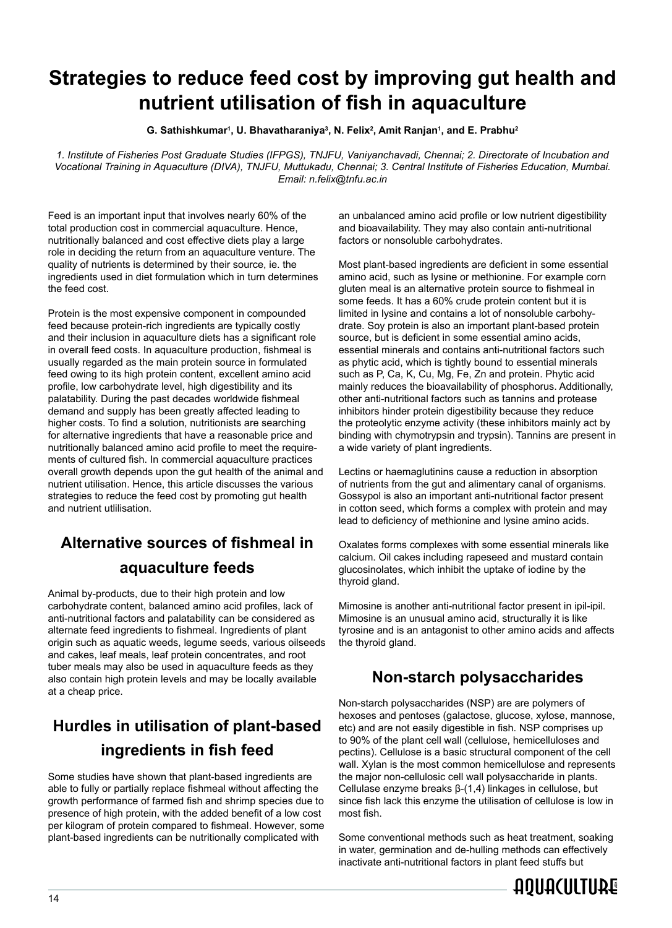# **Strategies to reduce feed cost by improving gut health and nutrient utilisation of fish in aquaculture**

**G. Sathishkumar1, U. Bhavatharaniya3, N. Felix2, Amit Ranjan1, and E. Prabhu2**

*1. Institute of Fisheries Post Graduate Studies (IFPGS), TNJFU, Vaniyanchavadi, Chennai; 2. Directorate of Incubation and Vocational Training in Aquaculture (DIVA), TNJFU, Muttukadu, Chennai; 3. Central Institute of Fisheries Education, Mumbai. Email: n.felix@tnfu.ac.in*

Feed is an important input that involves nearly 60% of the total production cost in commercial aquaculture. Hence, nutritionally balanced and cost effective diets play a large role in deciding the return from an aquaculture venture. The quality of nutrients is determined by their source, ie. the ingredients used in diet formulation which in turn determines the feed cost.

Protein is the most expensive component in compounded feed because protein-rich ingredients are typically costly and their inclusion in aquaculture diets has a significant role in overall feed costs. In aquaculture production, fishmeal is usually regarded as the main protein source in formulated feed owing to its high protein content, excellent amino acid profile, low carbohydrate level, high digestibility and its palatability. During the past decades worldwide fishmeal demand and supply has been greatly affected leading to higher costs. To find a solution, nutritionists are searching for alternative ingredients that have a reasonable price and nutritionally balanced amino acid profile to meet the requirements of cultured fish. In commercial aquaculture practices overall growth depends upon the gut health of the animal and nutrient utilisation. Hence, this article discusses the various strategies to reduce the feed cost by promoting gut health and nutrient utlilisation.

## **Alternative sources of fishmeal in aquaculture feeds**

Animal by-products, due to their high protein and low carbohydrate content, balanced amino acid profiles, lack of anti-nutritional factors and palatability can be considered as alternate feed ingredients to fishmeal. Ingredients of plant origin such as aquatic weeds, legume seeds, various oilseeds and cakes, leaf meals, leaf protein concentrates, and root tuber meals may also be used in aquaculture feeds as they also contain high protein levels and may be locally available at a cheap price.

## **Hurdles in utilisation of plant-based ingredients in fish feed**

Some studies have shown that plant-based ingredients are able to fully or partially replace fishmeal without affecting the growth performance of farmed fish and shrimp species due to presence of high protein, with the added benefit of a low cost .<br>per kilogram of protein compared to fishmeal. However, some plant-based ingredients can be nutritionally complicated with

an unbalanced amino acid profile or low nutrient digestibility and bioavailability. They may also contain anti-nutritional factors or nonsoluble carbohydrates.

Most plant-based ingredients are deficient in some essential amino acid, such as lysine or methionine. For example corn gluten meal is an alternative protein source to fishmeal in some feeds. It has a 60% crude protein content but it is limited in lysine and contains a lot of nonsoluble carbohydrate. Soy protein is also an important plant-based protein source, but is deficient in some essential amino acids, essential minerals and contains anti-nutritional factors such as phytic acid, which is tightly bound to essential minerals such as P, Ca, K, Cu, Mg, Fe, Zn and protein. Phytic acid mainly reduces the bioavailability of phosphorus. Additionally, other anti-nutritional factors such as tannins and protease inhibitors hinder protein digestibility because they reduce the proteolytic enzyme activity (these inhibitors mainly act by binding with chymotrypsin and trypsin). Tannins are present in a wide variety of plant ingredients.

Lectins or haemaglutinins cause a reduction in absorption of nutrients from the gut and alimentary canal of organisms. Gossypol is also an important anti-nutritional factor present in cotton seed, which forms a complex with protein and may lead to deficiency of methionine and lysine amino acids.

Oxalates forms complexes with some essential minerals like calcium. Oil cakes including rapeseed and mustard contain glucosinolates, which inhibit the uptake of iodine by the thyroid gland.

Mimosine is another anti-nutritional factor present in ipil-ipil. Mimosine is an unusual amino acid, structurally it is like tyrosine and is an antagonist to other amino acids and affects the thyroid gland.

### **Non-starch polysaccharides**

Non-starch polysaccharides (NSP) are are polymers of hexoses and pentoses (galactose, glucose, xylose, mannose, etc) and are not easily digestible in fish. NSP comprises up to 90% of the plant cell wall (cellulose, hemicelluloses and pectins). Cellulose is a basic structural component of the cell wall. Xylan is the most common hemicellulose and represents the major non-cellulosic cell wall polysaccharide in plants. Cellulase enzyme breaks β-(1,4) linkages in cellulose, but since fish lack this enzyme the utilisation of cellulose is low in most fish.

Some conventional methods such as heat treatment, soaking in water, germination and de-hulling methods can effectively inactivate anti-nutritional factors in plant feed stuffs but

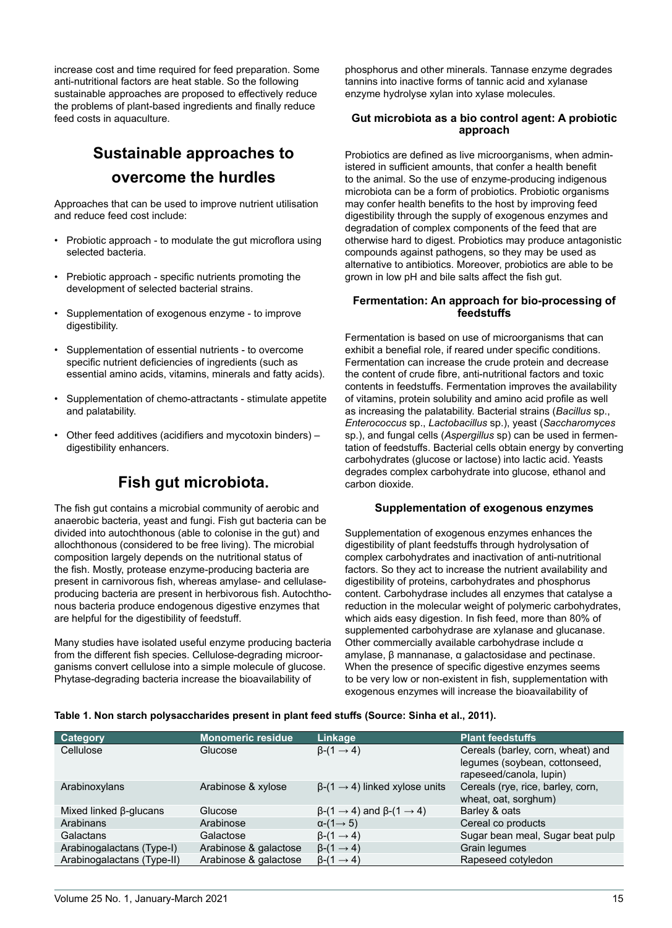increase cost and time required for feed preparation. Some anti-nutritional factors are heat stable. So the following sustainable approaches are proposed to effectively reduce the problems of plant-based ingredients and finally reduce feed costs in aquaculture.

## **Sustainable approaches to overcome the hurdles**

Approaches that can be used to improve nutrient utilisation and reduce feed cost include:

- Probiotic approach to modulate the gut microflora using selected bacteria.
- Prebiotic approach specific nutrients promoting the development of selected bacterial strains.
- Supplementation of exogenous enzyme to improve digestibility.
- Supplementation of essential nutrients to overcome specific nutrient deficiencies of ingredients (such as essential amino acids, vitamins, minerals and fatty acids).
- Supplementation of chemo-attractants stimulate appetite and palatability.
- Other feed additives (acidifiers and mycotoxin binders) digestibility enhancers.

### **Fish gut microbiota.**

The fish gut contains a microbial community of aerobic and anaerobic bacteria, yeast and fungi. Fish gut bacteria can be divided into autochthonous (able to colonise in the gut) and allochthonous (considered to be free living). The microbial composition largely depends on the nutritional status of the fish. Mostly, protease enzyme-producing bacteria are present in carnivorous fish, whereas amylase- and cellulaseproducing bacteria are present in herbivorous fish. Autochthonous bacteria produce endogenous digestive enzymes that are helpful for the digestibility of feedstuff.

Many studies have isolated useful enzyme producing bacteria from the different fish species. Cellulose-degrading microorganisms convert cellulose into a simple molecule of glucose. Phytase-degrading bacteria increase the bioavailability of

phosphorus and other minerals. Tannase enzyme degrades tannins into inactive forms of tannic acid and xylanase enzyme hydrolyse xylan into xylase molecules.

#### **Gut microbiota as a bio control agent: A probiotic approach**

Probiotics are defined as live microorganisms, when administered in sufficient amounts, that confer a health benefit to the animal. So the use of enzyme-producing indigenous microbiota can be a form of probiotics. Probiotic organisms may confer health benefits to the host by improving feed digestibility through the supply of exogenous enzymes and degradation of complex components of the feed that are otherwise hard to digest. Probiotics may produce antagonistic compounds against pathogens, so they may be used as alternative to antibiotics. Moreover, probiotics are able to be grown in low pH and bile salts affect the fish gut.

#### **Fermentation: An approach for bio-processing of feedstuffs**

Fermentation is based on use of microorganisms that can exhibit a benefial role, if reared under specific conditions. Fermentation can increase the crude protein and decrease the content of crude fibre, anti-nutritional factors and toxic contents in feedstuffs. Fermentation improves the availability of vitamins, protein solubility and amino acid profile as well as increasing the palatability. Bacterial strains (*Bacillus* sp., *Enterococcus* sp., *Lactobacillus* sp.), yeast (*Saccharomyces* sp.), and fungal cells (*Aspergillus* sp) can be used in fermentation of feedstuffs. Bacterial cells obtain energy by converting carbohydrates (glucose or lactose) into lactic acid. Yeasts degrades complex carbohydrate into glucose, ethanol and carbon dioxide.

#### **Supplementation of exogenous enzymes**

Supplementation of exogenous enzymes enhances the digestibility of plant feedstuffs through hydrolysation of complex carbohydrates and inactivation of anti-nutritional factors. So they act to increase the nutrient availability and digestibility of proteins, carbohydrates and phosphorus content. Carbohydrase includes all enzymes that catalyse a reduction in the molecular weight of polymeric carbohydrates, which aids easy digestion. In fish feed, more than 80% of supplemented carbohydrase are xylanase and glucanase. Other commercially available carbohydrase include α amylase, β mannanase, α galactosidase and pectinase. When the presence of specific digestive enzymes seems to be very low or non-existent in fish, supplementation with exogenous enzymes will increase the bioavailability of

Table 1. Non starch polysaccharides present in plant feed stuffs (Source: Sinha et al., 2011).

| Category                      | <b>Monomeric residue</b> | Linkage                                                       | <b>Plant feedstuffs</b>                                   |
|-------------------------------|--------------------------|---------------------------------------------------------------|-----------------------------------------------------------|
| Cellulose                     | Glucose                  | $\beta$ - $(1 \rightarrow 4)$                                 | Cereals (barley, corn, wheat) and                         |
|                               |                          |                                                               | legumes (soybean, cottonseed,<br>rapeseed/canola, lupin)  |
| Arabinoxylans                 | Arabinose & xylose       | $\beta$ -(1 $\rightarrow$ 4) linked xylose units              | Cereals (rye, rice, barley, corn,<br>wheat, oat, sorghum) |
| Mixed linked $\beta$ -glucans | Glucose                  | $\beta$ -(1 $\rightarrow$ 4) and $\beta$ -(1 $\rightarrow$ 4) | Barley & oats                                             |
| Arabinans                     | Arabinose                | $\alpha$ -(1 $\rightarrow$ 5)                                 | Cereal co products                                        |
| Galactans                     | Galactose                | $\beta$ - $(1 \rightarrow 4)$                                 | Sugar bean meal, Sugar beat pulp                          |
| Arabinogalactans (Type-I)     | Arabinose & galactose    | $\beta$ - $(1 \rightarrow 4)$                                 | Grain legumes                                             |
| Arabinogalactans (Type-II)    | Arabinose & galactose    | $\beta$ - $(1 \rightarrow 4)$                                 | Rapeseed cotyledon                                        |